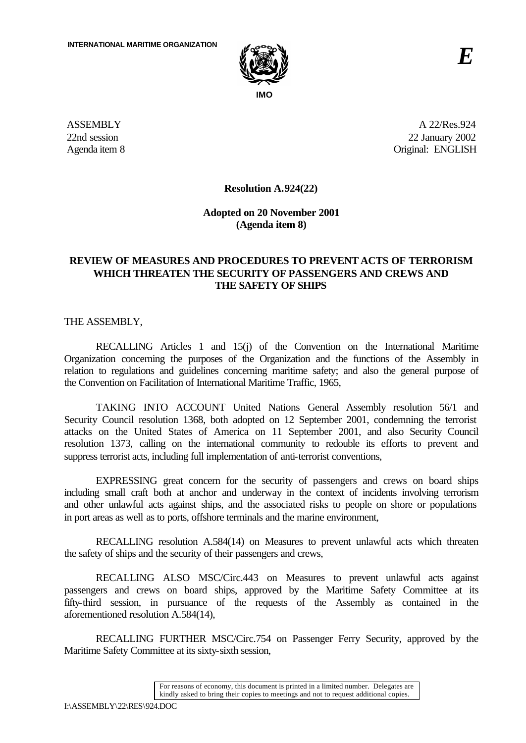

**ASSEMBLY** 22nd session Agenda item 8

A 22/Res.924 22 January 2002 Original: ENGLISH

**Resolution A.924(22)**

**Adopted on 20 November 2001 (Agenda item 8)**

## **REVIEW OF MEASURES AND PROCEDURES TO PREVENT ACTS OF TERRORISM WHICH THREATEN THE SECURITY OF PASSENGERS AND CREWS AND THE SAFETY OF SHIPS**

THE ASSEMBLY,

RECALLING Articles 1 and 15(j) of the Convention on the International Maritime Organization concerning the purposes of the Organization and the functions of the Assembly in relation to regulations and guidelines concerning maritime safety; and also the general purpose of the Convention on Facilitation of International Maritime Traffic, 1965,

TAKING INTO ACCOUNT United Nations General Assembly resolution 56/1 and Security Council resolution 1368, both adopted on 12 September 2001, condemning the terrorist attacks on the United States of America on 11 September 2001, and also Security Council resolution 1373, calling on the international community to redouble its efforts to prevent and suppress terrorist acts, including full implementation of anti-terrorist conventions,

EXPRESSING great concern for the security of passengers and crews on board ships including small craft both at anchor and underway in the context of incidents involving terrorism and other unlawful acts against ships, and the associated risks to people on shore or populations in port areas as well as to ports, offshore terminals and the marine environment,

RECALLING resolution A.584(14) on Measures to prevent unlawful acts which threaten the safety of ships and the security of their passengers and crews,

RECALLING ALSO MSC/Circ.443 on Measures to prevent unlawful acts against passengers and crews on board ships, approved by the Maritime Safety Committee at its fifty-third session, in pursuance of the requests of the Assembly as contained in the aforementioned resolution A.584(14),

RECALLING FURTHER MSC/Circ.754 on Passenger Ferry Security, approved by the Maritime Safety Committee at its sixty-sixth session,

> For reasons of economy, this document is printed in a limited number. Delegates are kindly asked to bring their copies to meetings and not to request additional copies.